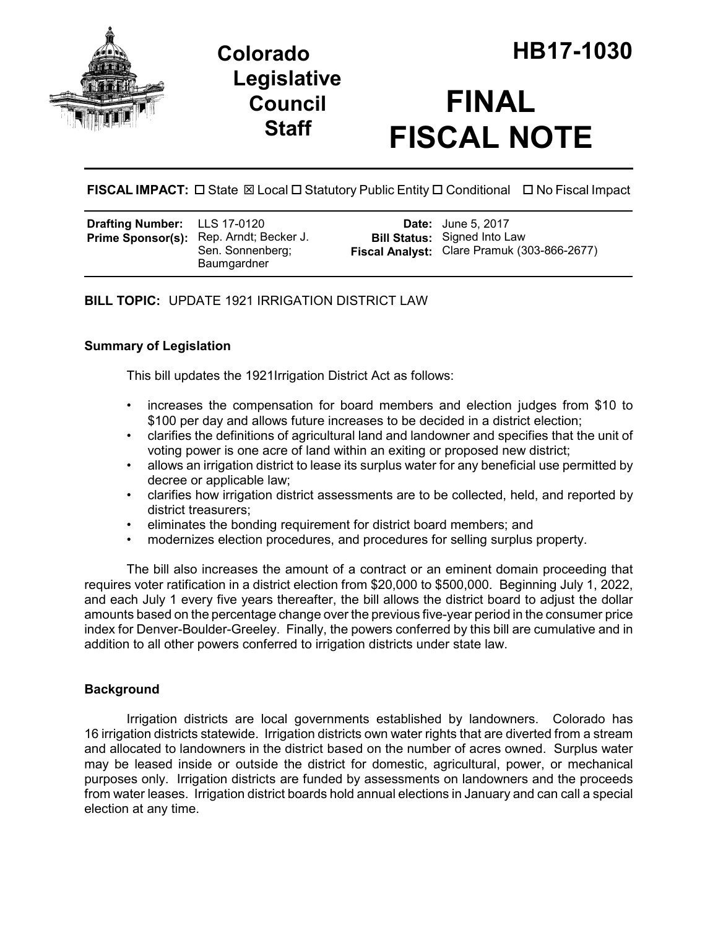

## **Legislative Council Staff**

# **FINAL FISCAL NOTE**

**FISCAL IMPACT:** □ State  $\boxtimes$  Local □ Statutory Public Entity □ Conditional □ No Fiscal Impact

| LLS 17-0120           |
|-----------------------|
| Rep. Arndt; Becker J. |
| Sen. Sonnenberg;      |
| Baumgardner           |
|                       |

**Date:** June 5, 2017 **Bill Status:** Signed Into Law **Fiscal Analyst:** Clare Pramuk (303-866-2677)

**BILL TOPIC:** UPDATE 1921 IRRIGATION DISTRICT LAW

## **Summary of Legislation**

This bill updates the 1921Irrigation District Act as follows:

- increases the compensation for board members and election judges from \$10 to \$100 per day and allows future increases to be decided in a district election;
- clarifies the definitions of agricultural land and landowner and specifies that the unit of voting power is one acre of land within an exiting or proposed new district;
- allows an irrigation district to lease its surplus water for any beneficial use permitted by decree or applicable law;
- clarifies how irrigation district assessments are to be collected, held, and reported by district treasurers;
- eliminates the bonding requirement for district board members; and
- modernizes election procedures, and procedures for selling surplus property.

The bill also increases the amount of a contract or an eminent domain proceeding that requires voter ratification in a district election from \$20,000 to \$500,000. Beginning July 1, 2022, and each July 1 every five years thereafter, the bill allows the district board to adjust the dollar amounts based on the percentage change over the previous five-year period in the consumer price index for Denver-Boulder-Greeley. Finally, the powers conferred by this bill are cumulative and in addition to all other powers conferred to irrigation districts under state law.

## **Background**

Irrigation districts are local governments established by landowners. Colorado has 16 irrigation districts statewide. Irrigation districts own water rights that are diverted from a stream and allocated to landowners in the district based on the number of acres owned. Surplus water may be leased inside or outside the district for domestic, agricultural, power, or mechanical purposes only. Irrigation districts are funded by assessments on landowners and the proceeds from water leases. Irrigation district boards hold annual elections in January and can call a special election at any time.